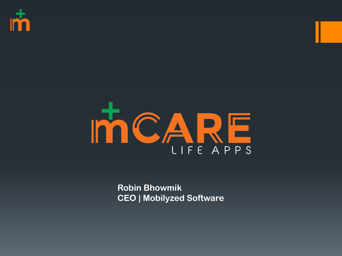



**Robin Bhowmik CEO | Mobilyzed Software**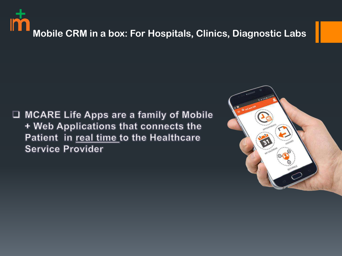

□ MCARE Life Apps are a family of Mobile + Web Applications that connects the Patient in real time to the Healthcare **Service Provider** 

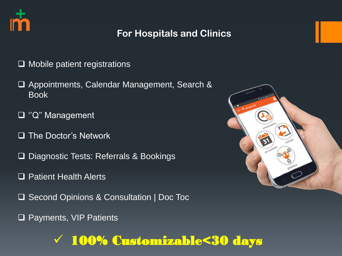

### **For Hospitals and Clinics**

- $\Box$  Mobile patient registrations
- □ Appointments, Calendar Management, Search & Book
- ''Q'' Management
- $\Box$  The Doctor's Network
- □ Diagnostic Tests: Referrals & Bookings
- □ Patient Health Alerts
- **□ Second Opinions & Consultation | Doc Toc**
- □ Payments, VIP Patients



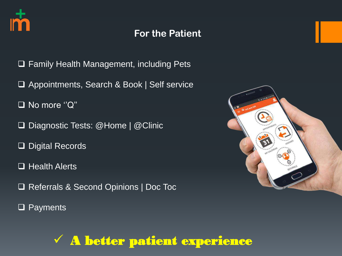

### **For the Patient**

- □ Family Health Management, including Pets
- □ Appointments, Search & Book | Self service
- □ No more "Q"
- □ Diagnostic Tests: @Home | @Clinic
- □ Digital Records
- □ Health Alerts
- □ Referrals & Second Opinions | Doc Toc
- □ Payments



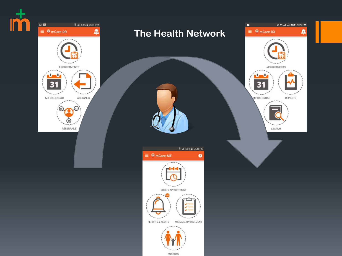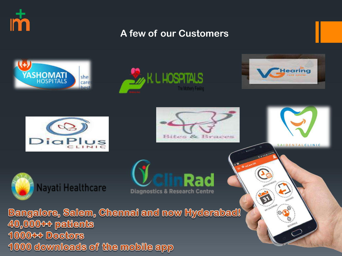

### **A few of our Customers**



1000 downloads of the mobile app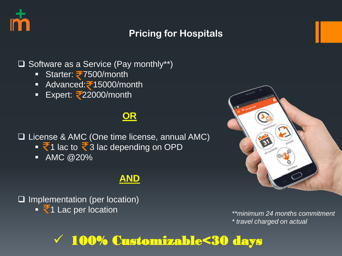

### **Pricing for Hospitals**

 $\Box$  Software as a Service (Pay monthly\*\*)

- Starter:  $\approx 7500$ /month
- Advanced: 15000/month
- Expert:  $\sqrt{22000}$ /month

### **OR**

License & AMC (One time license, annual AMC)

- $\overline{3}$  1 lac to  $\overline{3}$  3 lac depending on OPD
- $\blacksquare$  AMC @20%

### **AND**

 $\Box$  Implementation (per location) ■ ₹1 Lac per location *internal commitment* 



*\* travel charged on actual*

## 100% Customizable<30 days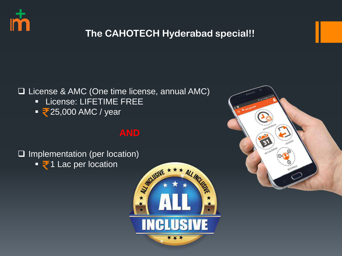

### **The CAHOTECH Hyderabad special!!**

#### License & AMC (One time license, annual AMC)

- **E** License: LIFETIME FREE
- $\sqrt{25,000}$  AMC / year

### **AND**

 $\Box$  Implementation (per location)

 $\overline{\phantom{a}}$  1 Lac per location